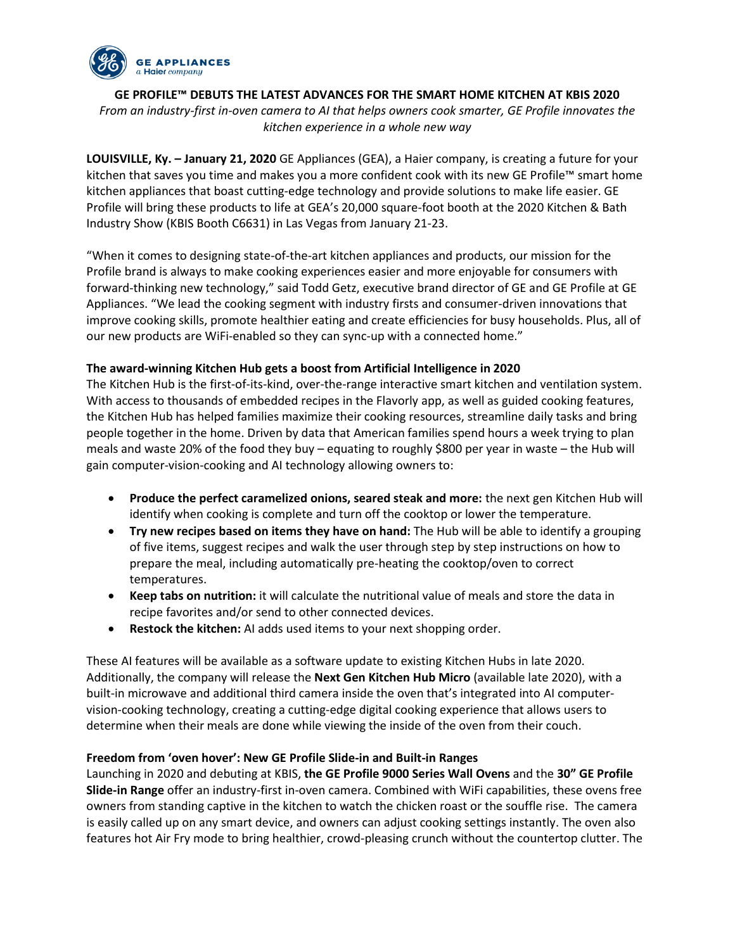

**GE PROFILE™ DEBUTS THE LATEST ADVANCES FOR THE SMART HOME KITCHEN AT KBIS 2020**

*From an industry-first in-oven camera to AI that helps owners cook smarter, GE Profile innovates the kitchen experience in a whole new way* 

**LOUISVILLE, Ky. – January 21, 2020** GE Appliances (GEA), a Haier company, is creating a future for your kitchen that saves you time and makes you a more confident cook with its new GE Profile™ smart home kitchen appliances that boast cutting-edge technology and provide solutions to make life easier. GE Profile will bring these products to life at GEA's 20,000 square-foot booth at the 2020 Kitchen & Bath Industry Show (KBIS Booth C6631) in Las Vegas from January 21-23.

"When it comes to designing state-of-the-art kitchen appliances and products, our mission for the Profile brand is always to make cooking experiences easier and more enjoyable for consumers with forward-thinking new technology," said Todd Getz, executive brand director of GE and GE Profile at GE Appliances. "We lead the cooking segment with industry firsts and consumer-driven innovations that improve cooking skills, promote healthier eating and create efficiencies for busy households. Plus, all of our new products are WiFi-enabled so they can sync-up with a connected home."

# **The award-winning Kitchen Hub gets a boost from Artificial Intelligence in 2020**

The Kitchen Hub is the first-of-its-kind, over-the-range interactive smart kitchen and ventilation system. With access to thousands of embedded recipes in the Flavorly app, as well as guided cooking features, the Kitchen Hub has helped families maximize their cooking resources, streamline daily tasks and bring people together in the home. Driven by data that American families spend hours a week trying to plan meals and waste 20% of the food they buy – equating to roughly \$800 per year in waste – the Hub will gain computer-vision-cooking and AI technology allowing owners to:

- **Produce the perfect caramelized onions, seared steak and more:** the next gen Kitchen Hub will identify when cooking is complete and turn off the cooktop or lower the temperature.
- **Try new recipes based on items they have on hand:** The Hub will be able to identify a grouping of five items, suggest recipes and walk the user through step by step instructions on how to prepare the meal, including automatically pre-heating the cooktop/oven to correct temperatures.
- **Keep tabs on nutrition:** it will calculate the nutritional value of meals and store the data in recipe favorites and/or send to other connected devices.
- **Restock the kitchen:** AI adds used items to your next shopping order.

These AI features will be available as a software update to existing Kitchen Hubs in late 2020. Additionally, the company will release the **Next Gen Kitchen Hub Micro** (available late 2020), with a built-in microwave and additional third camera inside the oven that's integrated into AI computervision-cooking technology, creating a cutting-edge digital cooking experience that allows users to determine when their meals are done while viewing the inside of the oven from their couch.

# **Freedom from 'oven hover': New GE Profile Slide-in and Built-in Ranges**

Launching in 2020 and debuting at KBIS, **the GE Profile 9000 Series Wall Ovens** and the **30" GE Profile Slide-in Range** offer an industry-first in-oven camera. Combined with WiFi capabilities, these ovens free owners from standing captive in the kitchen to watch the chicken roast or the souffle rise. The camera is easily called up on any smart device, and owners can adjust cooking settings instantly. The oven also features hot Air Fry mode to bring healthier, crowd-pleasing crunch without the countertop clutter. The